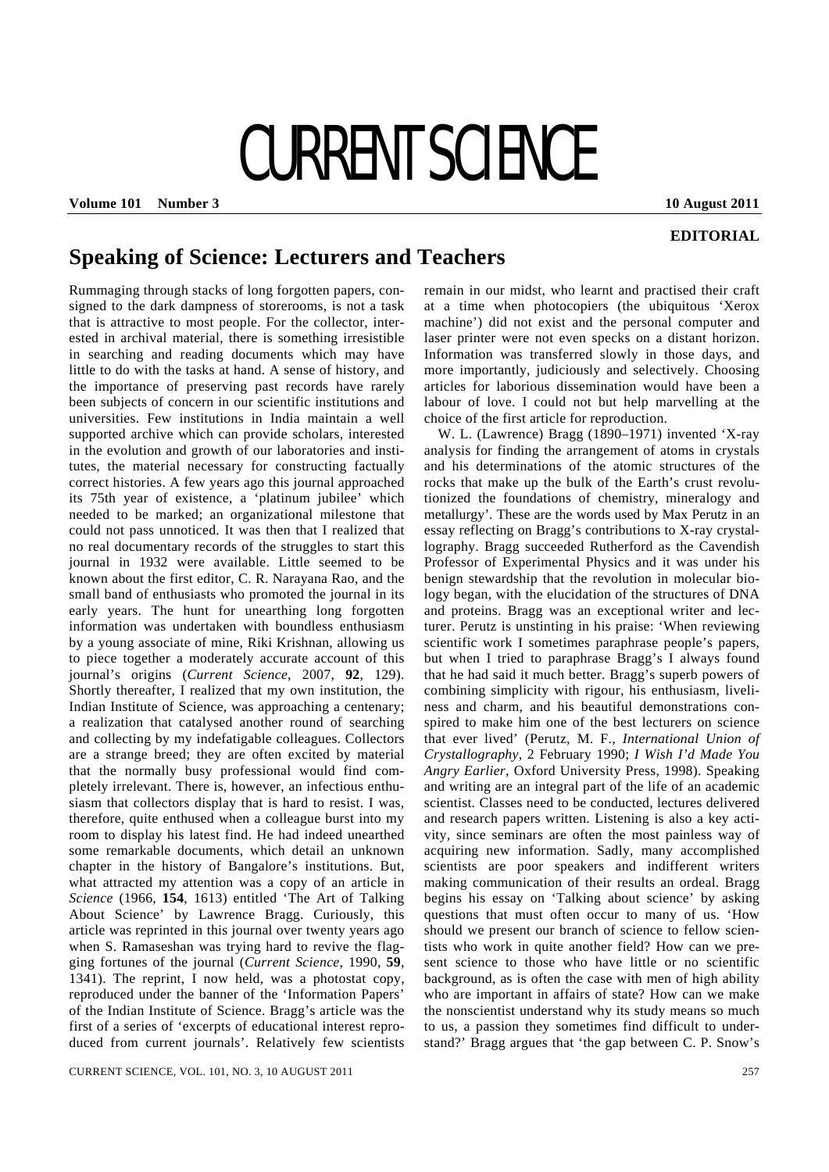## CURRENT SCIENCE

**Volume 101 Number 3 10 August 2011** 

**EDITORIAL** 

## **Speaking of Science: Lecturers and Teachers**

Rummaging through stacks of long forgotten papers, consigned to the dark dampness of storerooms, is not a task that is attractive to most people. For the collector, interested in archival material, there is something irresistible in searching and reading documents which may have little to do with the tasks at hand. A sense of history, and the importance of preserving past records have rarely been subjects of concern in our scientific institutions and universities. Few institutions in India maintain a well supported archive which can provide scholars, interested in the evolution and growth of our laboratories and institutes, the material necessary for constructing factually correct histories. A few years ago this journal approached its 75th year of existence, a 'platinum jubilee' which needed to be marked; an organizational milestone that could not pass unnoticed. It was then that I realized that no real documentary records of the struggles to start this journal in 1932 were available. Little seemed to be known about the first editor, C. R. Narayana Rao, and the small band of enthusiasts who promoted the journal in its early years. The hunt for unearthing long forgotten information was undertaken with boundless enthusiasm by a young associate of mine, Riki Krishnan, allowing us to piece together a moderately accurate account of this journal's origins (*Current Science*, 2007, **92**, 129). Shortly thereafter, I realized that my own institution, the Indian Institute of Science, was approaching a centenary; a realization that catalysed another round of searching and collecting by my indefatigable colleagues. Collectors are a strange breed; they are often excited by material that the normally busy professional would find completely irrelevant. There is, however, an infectious enthusiasm that collectors display that is hard to resist. I was, therefore, quite enthused when a colleague burst into my room to display his latest find. He had indeed unearthed some remarkable documents, which detail an unknown chapter in the history of Bangalore's institutions. But, what attracted my attention was a copy of an article in *Science* (1966, **154**, 1613) entitled 'The Art of Talking About Science' by Lawrence Bragg. Curiously, this article was reprinted in this journal over twenty years ago when S. Ramaseshan was trying hard to revive the flagging fortunes of the journal (*Current Science*, 1990, **59**, 1341). The reprint, I now held, was a photostat copy, reproduced under the banner of the 'Information Papers' of the Indian Institute of Science. Bragg's article was the first of a series of 'excerpts of educational interest reproduced from current journals'. Relatively few scientists remain in our midst, who learnt and practised their craft at a time when photocopiers (the ubiquitous 'Xerox machine') did not exist and the personal computer and laser printer were not even specks on a distant horizon. Information was transferred slowly in those days, and more importantly, judiciously and selectively. Choosing articles for laborious dissemination would have been a labour of love. I could not but help marvelling at the choice of the first article for reproduction.

 W. L. (Lawrence) Bragg (1890–1971) invented 'X-ray analysis for finding the arrangement of atoms in crystals and his determinations of the atomic structures of the rocks that make up the bulk of the Earth's crust revolutionized the foundations of chemistry, mineralogy and metallurgy'. These are the words used by Max Perutz in an essay reflecting on Bragg's contributions to X-ray crystallography. Bragg succeeded Rutherford as the Cavendish Professor of Experimental Physics and it was under his benign stewardship that the revolution in molecular biology began, with the elucidation of the structures of DNA and proteins. Bragg was an exceptional writer and lecturer. Perutz is unstinting in his praise: 'When reviewing scientific work I sometimes paraphrase people's papers, but when I tried to paraphrase Bragg's I always found that he had said it much better. Bragg's superb powers of combining simplicity with rigour, his enthusiasm, liveliness and charm, and his beautiful demonstrations conspired to make him one of the best lecturers on science that ever lived' (Perutz, M. F., *International Union of Crystallography*, 2 February 1990; *I Wish I'd Made You Angry Earlier*, Oxford University Press, 1998). Speaking and writing are an integral part of the life of an academic scientist. Classes need to be conducted, lectures delivered and research papers written. Listening is also a key activity, since seminars are often the most painless way of acquiring new information. Sadly, many accomplished scientists are poor speakers and indifferent writers making communication of their results an ordeal. Bragg begins his essay on 'Talking about science' by asking questions that must often occur to many of us. 'How should we present our branch of science to fellow scientists who work in quite another field? How can we present science to those who have little or no scientific background, as is often the case with men of high ability who are important in affairs of state? How can we make the nonscientist understand why its study means so much to us, a passion they sometimes find difficult to understand?' Bragg argues that 'the gap between C. P. Snow's